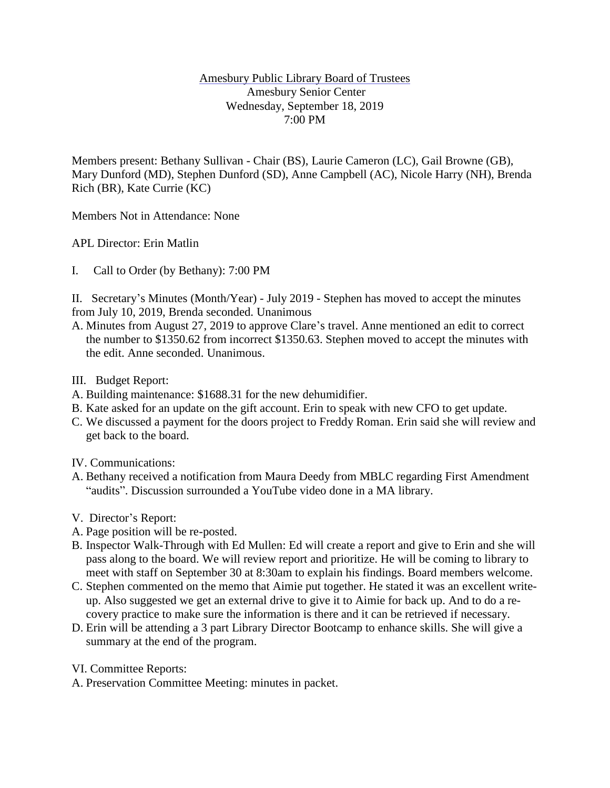## Amesbury Public Library Board of Trustees Amesbury Senior Center Wednesday, September 18, 2019 7:00 PM

Members present: Bethany Sullivan - Chair (BS), Laurie Cameron (LC), Gail Browne (GB), Mary Dunford (MD), Stephen Dunford (SD), Anne Campbell (AC), Nicole Harry (NH), Brenda Rich (BR), Kate Currie (KC)

Members Not in Attendance: None

APL Director: Erin Matlin

I. Call to Order (by Bethany): 7:00 PM

II. Secretary's Minutes (Month/Year) - July 2019 - Stephen has moved to accept the minutes from July 10, 2019, Brenda seconded. Unanimous

- A. Minutes from August 27, 2019 to approve Clare's travel. Anne mentioned an edit to correct the number to \$1350.62 from incorrect \$1350.63. Stephen moved to accept the minutes with the edit. Anne seconded. Unanimous.
- III. Budget Report:
- A. Building maintenance: \$1688.31 for the new dehumidifier.
- B. Kate asked for an update on the gift account. Erin to speak with new CFO to get update.
- C. We discussed a payment for the doors project to Freddy Roman. Erin said she will review and get back to the board.
- IV. Communications:
- A. Bethany received a notification from Maura Deedy from MBLC regarding First Amendment "audits". Discussion surrounded a YouTube video done in a MA library.
- V. Director's Report:
- A. Page position will be re-posted.
- B. Inspector Walk-Through with Ed Mullen: Ed will create a report and give to Erin and she will pass along to the board. We will review report and prioritize. He will be coming to library to meet with staff on September 30 at 8:30am to explain his findings. Board members welcome.
- C. Stephen commented on the memo that Aimie put together. He stated it was an excellent writeup. Also suggested we get an external drive to give it to Aimie for back up. And to do a recovery practice to make sure the information is there and it can be retrieved if necessary.
- D. Erin will be attending a 3 part Library Director Bootcamp to enhance skills. She will give a summary at the end of the program.
- VI. Committee Reports:
- A. Preservation Committee Meeting: minutes in packet.